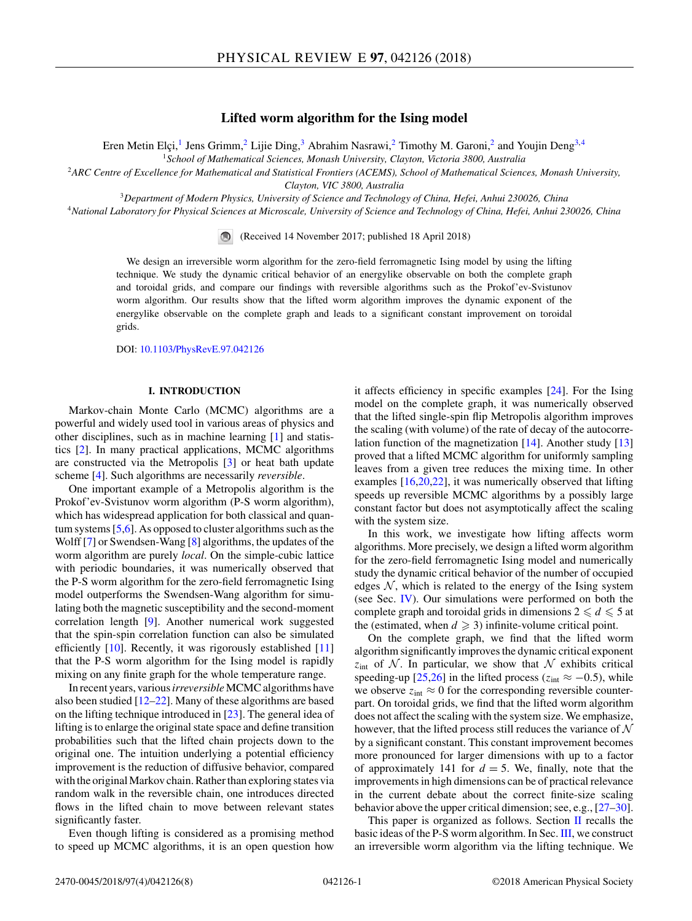# **Lifted worm algorithm for the Ising model**

Eren Metin Elçi,<sup>1</sup> Jens Grimm,<sup>2</sup> Lijie Ding,<sup>3</sup> Abrahim Nasrawi,<sup>2</sup> Timothy M. Garoni,<sup>2</sup> and Youjin Deng<sup>3,4</sup>

<sup>1</sup>*School of Mathematical Sciences, Monash University, Clayton, Victoria 3800, Australia*

<sup>2</sup>*ARC Centre of Excellence for Mathematical and Statistical Frontiers (ACEMS), School of Mathematical Sciences, Monash University,*

*Clayton, VIC 3800, Australia*

<sup>3</sup>*Department of Modern Physics, University of Science and Technology of China, Hefei, Anhui 230026, China*

<sup>4</sup>*National Laboratory for Physical Sciences at Microscale, University of Science and Technology of China, Hefei, Anhui 230026, China*

(Received 14 November 2017; published 18 April 2018)

We design an irreversible worm algorithm for the zero-field ferromagnetic Ising model by using the lifting technique. We study the dynamic critical behavior of an energylike observable on both the complete graph and toroidal grids, and compare our findings with reversible algorithms such as the Prokof'ev-Svistunov worm algorithm. Our results show that the lifted worm algorithm improves the dynamic exponent of the energylike observable on the complete graph and leads to a significant constant improvement on toroidal grids.

DOI: [10.1103/PhysRevE.97.042126](https://doi.org/10.1103/PhysRevE.97.042126)

# **I. INTRODUCTION**

Markov-chain Monte Carlo (MCMC) algorithms are a powerful and widely used tool in various areas of physics and other disciplines, such as in machine learning [\[1\]](#page-6-0) and statistics [\[2\]](#page-6-0). In many practical applications, MCMC algorithms are constructed via the Metropolis [\[3\]](#page-6-0) or heat bath update scheme [\[4\]](#page-6-0). Such algorithms are necessarily *reversible*.

One important example of a Metropolis algorithm is the Prokof'ev-Svistunov worm algorithm (P-S worm algorithm), which has widespread application for both classical and quantum systems [\[5,6\]](#page-6-0). As opposed to cluster algorithms such as the Wolff [\[7\]](#page-6-0) or Swendsen-Wang [\[8\]](#page-6-0) algorithms, the updates of the worm algorithm are purely *local*. On the simple-cubic lattice with periodic boundaries, it was numerically observed that the P-S worm algorithm for the zero-field ferromagnetic Ising model outperforms the Swendsen-Wang algorithm for simulating both the magnetic susceptibility and the second-moment correlation length [\[9\]](#page-6-0). Another numerical work suggested that the spin-spin correlation function can also be simulated efficiently  $[10]$ . Recently, it was rigorously established  $[11]$ that the P-S worm algorithm for the Ising model is rapidly mixing on any finite graph for the whole temperature range.

In recent years, various*irreversible*MCMC algorithms have also been studied  $[12-22]$  $[12-22]$ . Many of these algorithms are based on the lifting technique introduced in [\[23\]](#page-7-0). The general idea of lifting is to enlarge the original state space and define transition probabilities such that the lifted chain projects down to the original one. The intuition underlying a potential efficiency improvement is the reduction of diffusive behavior, compared with the original Markov chain. Rather than exploring states via random walk in the reversible chain, one introduces directed flows in the lifted chain to move between relevant states significantly faster.

Even though lifting is considered as a promising method to speed up MCMC algorithms, it is an open question how

it affects efficiency in specific examples [\[24\]](#page-7-0). For the Ising model on the complete graph, it was numerically observed that the lifted single-spin flip Metropolis algorithm improves the scaling (with volume) of the rate of decay of the autocorrelation function of the magnetization  $[14]$ . Another study  $[13]$ proved that a lifted MCMC algorithm for uniformly sampling leaves from a given tree reduces the mixing time. In other examples [\[16,](#page-6-0)[20,22\]](#page-7-0), it was numerically observed that lifting speeds up reversible MCMC algorithms by a possibly large constant factor but does not asymptotically affect the scaling with the system size.

In this work, we investigate how lifting affects worm algorithms. More precisely, we design a lifted worm algorithm for the zero-field ferromagnetic Ising model and numerically study the dynamic critical behavior of the number of occupied edges  $N$ , which is related to the energy of the Ising system (see Sec. [IV\)](#page-2-0). Our simulations were performed on both the complete graph and toroidal grids in dimensions  $2 \le d \le 5$  at the (estimated, when  $d \geq 3$ ) infinite-volume critical point.

On the complete graph, we find that the lifted worm algorithm significantly improves the dynamic critical exponent  $z<sub>int</sub>$  of N. In particular, we show that N exhibits critical speeding-up [\[25,26\]](#page-7-0) in the lifted process ( $z_{int} \approx -0.5$ ), while we observe  $z_{int} \approx 0$  for the corresponding reversible counterpart. On toroidal grids, we find that the lifted worm algorithm does not affect the scaling with the system size. We emphasize, however, that the lifted process still reduces the variance of  $\mathcal N$ by a significant constant. This constant improvement becomes more pronounced for larger dimensions with up to a factor of approximately 141 for  $d = 5$ . We, finally, note that the improvements in high dimensions can be of practical relevance in the current debate about the correct finite-size scaling behavior above the upper critical dimension; see, e.g., [\[27–30\]](#page-7-0).

This paper is organized as follows. Section [II](#page-1-0) recalls the basic ideas of the P-S worm algorithm. In Sec. [III,](#page-1-0) we construct an irreversible worm algorithm via the lifting technique. We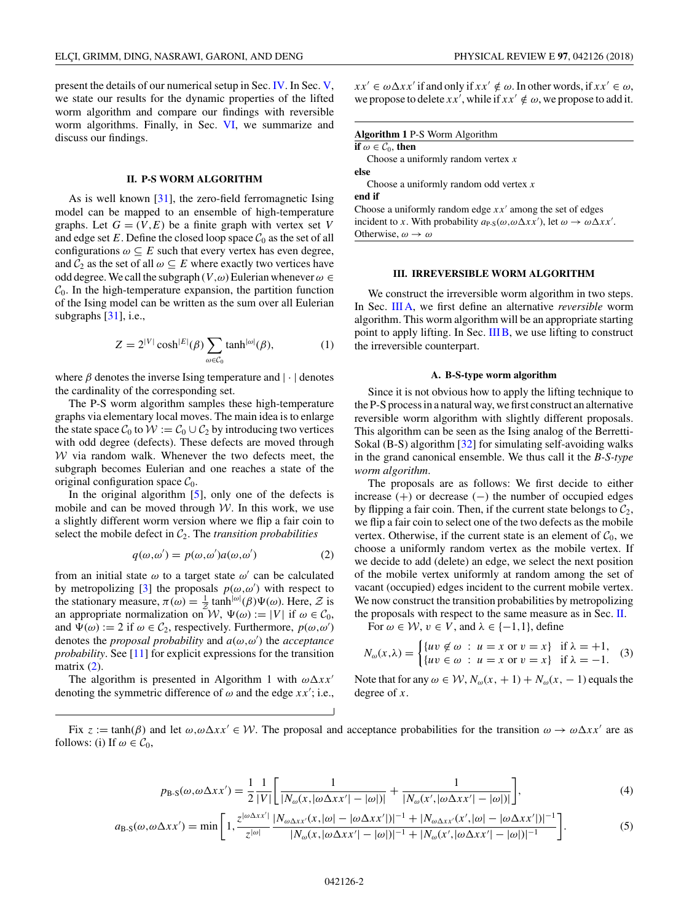<span id="page-1-0"></span>present the details of our numerical setup in Sec. [IV.](#page-2-0) In Sec. [V,](#page-3-0) we state our results for the dynamic properties of the lifted worm algorithm and compare our findings with reversible worm algorithms. Finally, in Sec. [VI,](#page-5-0) we summarize and discuss our findings.

## **II. P-S WORM ALGORITHM**

As is well known [\[31\]](#page-7-0), the zero-field ferromagnetic Ising model can be mapped to an ensemble of high-temperature graphs. Let  $G = (V, E)$  be a finite graph with vertex set V and edge set  $E$ . Define the closed loop space  $C_0$  as the set of all configurations  $\omega \subseteq E$  such that every vertex has even degree, and  $C_2$  as the set of all  $\omega \subseteq E$  where exactly two vertices have odd degree. We call the subgraph (*V ,ω*) Eulerian whenever*ω* ∈  $C_0$ . In the high-temperature expansion, the partition function of the Ising model can be written as the sum over all Eulerian subgraphs [\[31\]](#page-7-0), i.e.,

$$
Z = 2^{|V|} \cosh^{|E|}(\beta) \sum_{\omega \in \mathcal{C}_0} \tanh^{|\omega|}(\beta), \tag{1}
$$

where  $\beta$  denotes the inverse Ising temperature and  $|\cdot|$  denotes the cardinality of the corresponding set.

The P-S worm algorithm samples these high-temperature graphs via elementary local moves. The main idea is to enlarge the state space  $C_0$  to  $W := C_0 \cup C_2$  by introducing two vertices with odd degree (defects). These defects are moved through  $W$  via random walk. Whenever the two defects meet, the subgraph becomes Eulerian and one reaches a state of the original configuration space  $C_0$ .

In the original algorithm  $[5]$ , only one of the defects is mobile and can be moved through  $W$ . In this work, we use a slightly different worm version where we flip a fair coin to select the mobile defect in  $C_2$ . The *transition probabilities* 

$$
q(\omega, \omega') = p(\omega, \omega')a(\omega, \omega')
$$
 (2)

from an initial state  $\omega$  to a target state  $\omega'$  can be calculated by metropolizing [\[3\]](#page-6-0) the proposals  $p(\omega, \omega')$  with respect to the stationary measure,  $\pi(\omega) = \frac{1}{2} \tanh^{|\omega|}(\beta) \Psi(\omega)$ . Here, Z is an appropriate normalization on  $W$ ,  $\Psi(\omega) := |V|$  if  $\omega \in C_0$ , and  $\Psi(\omega) := 2$  if  $\omega \in C_2$ , respectively. Furthermore,  $p(\omega, \omega')$ denotes the *proposal probability* and *a*(*ω,ω* ) the *acceptance probability*. See [\[11\]](#page-6-0) for explicit expressions for the transition matrix  $(2)$ .

The algorithm is presented in Algorithm 1 with  $\omega \Delta x x'$ denoting the symmetric difference of  $\omega$  and the edge  $xx'$ ; i.e.,  $xx' \in \omega \Delta xx'$  if and only if  $xx' \notin \omega$ . In other words, if  $xx' \in \omega$ , we propose to delete *xx'*, while if  $xx' \notin \omega$ , we propose to add it.

| <b>Algorithm 1 P-S Worm Algorithm</b>                                                                                 |  |  |  |  |
|-----------------------------------------------------------------------------------------------------------------------|--|--|--|--|
| if $\omega \in \mathcal{C}_0$ , then                                                                                  |  |  |  |  |
| Choose a uniformly random vertex $x$                                                                                  |  |  |  |  |
| else                                                                                                                  |  |  |  |  |
| Choose a uniformly random odd vertex $x$                                                                              |  |  |  |  |
| end if                                                                                                                |  |  |  |  |
| Choose a uniformly random edge $xx'$ among the set of edges                                                           |  |  |  |  |
| incident to x. With probability $a_{P-S}(\omega, \omega \Delta x x')$ , let $\omega \rightarrow \omega \Delta x x'$ . |  |  |  |  |
| Otherwise, $\omega \rightarrow \omega$                                                                                |  |  |  |  |

## **III. IRREVERSIBLE WORM ALGORITHM**

We construct the irreversible worm algorithm in two steps. In Sec. III A, we first define an alternative *reversible* worm algorithm. This worm algorithm will be an appropriate starting point to apply lifting. In Sec. [III B,](#page-2-0) we use lifting to construct the irreversible counterpart.

#### **A. B-S-type worm algorithm**

Since it is not obvious how to apply the lifting technique to the P-S process in a natural way, we first construct an alternative reversible worm algorithm with slightly different proposals. This algorithm can be seen as the Ising analog of the Berretti-Sokal (B-S) algorithm [\[32\]](#page-7-0) for simulating self-avoiding walks in the grand canonical ensemble. We thus call it the *B-S-type worm algorithm*.

The proposals are as follows: We first decide to either increase (+) or decrease (−) the number of occupied edges by flipping a fair coin. Then, if the current state belongs to  $C_2$ , we flip a fair coin to select one of the two defects as the mobile vertex. Otherwise, if the current state is an element of  $C_0$ , we choose a uniformly random vertex as the mobile vertex. If we decide to add (delete) an edge, we select the next position of the mobile vertex uniformly at random among the set of vacant (occupied) edges incident to the current mobile vertex. We now construct the transition probabilities by metropolizing the proposals with respect to the same measure as in Sec. II.

For  $\omega \in \mathcal{W}$ ,  $v \in V$ , and  $\lambda \in \{-1,1\}$ , define

$$
N_{\omega}(x,\lambda) = \begin{cases} \{uv \notin \omega : u = x \text{ or } v = x\} & \text{if } \lambda = +1, \\ \{uv \in \omega : u = x \text{ or } v = x\} & \text{if } \lambda = -1. \end{cases}
$$
 (3)

Note that for any  $\omega \in \mathcal{W}$ ,  $N_{\omega}(x, +1) + N_{\omega}(x, -1)$  equals the degree of *x*.

Fix  $z := \tanh(\beta)$  and let  $\omega, \omega \Delta x x' \in \mathcal{W}$ . The proposal and acceptance probabilities for the transition  $\omega \to \omega \Delta x x'$  are as follows: (i) If  $\omega \in \mathcal{C}_0$ ,

$$
p_{\rm B-S}(\omega,\omega\Delta x x') = \frac{1}{2} \frac{1}{|V|} \left[ \frac{1}{|N_{\omega}(x,|\omega\Delta x x'| - |\omega|)|} + \frac{1}{|N_{\omega}(x',|\omega\Delta x x'| - |\omega|)|} \right],\tag{4}
$$

$$
a_{\rm B-S}(\omega,\omega\Delta xx') = \min\left[1,\frac{z^{|\omega\Delta xx'|}}{z^{|\omega|}}\frac{|N_{\omega\Delta xx'}(x,|\omega|-|\omega\Delta xx'|)|^{-1}+|N_{\omega\Delta xx'}(x',|\omega|-|\omega\Delta xx'|)|^{-1}}{|N_{\omega}(x,|\omega\Delta xx'|-|\omega|)|^{-1}+|N_{\omega}(x',|\omega\Delta xx'|-|\omega|)|^{-1}}\right].
$$
\n(5)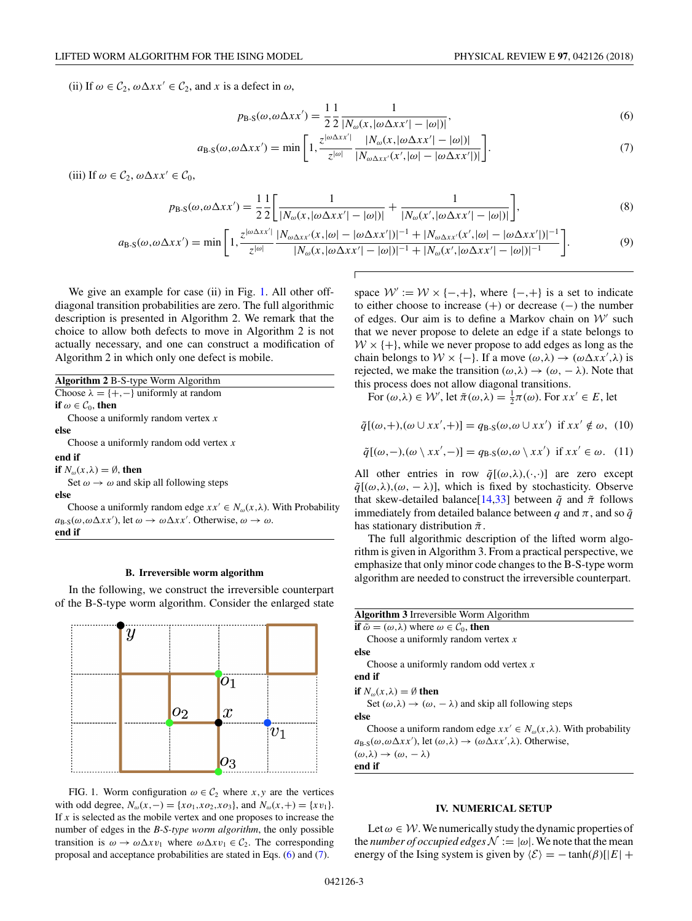<span id="page-2-0"></span>(ii) If  $\omega \in C_2$ ,  $\omega \Delta x x' \in C_2$ , and *x* is a defect in  $\omega$ ,

$$
p_{\text{B-S}}(\omega,\omega\Delta xx') = \frac{1}{2} \frac{1}{2} \frac{1}{|N_{\omega}(x,|\omega\Delta xx'| - |\omega|)|},\tag{6}
$$

$$
a_{\text{B-S}}(\omega,\omega\Delta xx') = \min\bigg[1,\frac{z^{|\omega\Delta xx'|}}{z^{|\omega|}}\frac{|N_{\omega}(x,|\omega\Delta xx'| - |\omega|)|}{|N_{\omega\Delta xx'}(x',|\omega| - |\omega\Delta xx'|)|}\bigg].\tag{7}
$$

(iii) If  $\omega \in C_2$ ,  $\omega \Delta x x' \in C_0$ ,

$$
p_{\rm B-S}(\omega,\omega\Delta xx') = \frac{1}{2} \frac{1}{2} \left[ \frac{1}{|N_{\omega}(x,|\omega\Delta xx'| - |\omega|)|} + \frac{1}{|N_{\omega}(x',|\omega\Delta xx'| - |\omega|)|} \right],\tag{8}
$$

$$
a_{\text{B-S}}(\omega,\omega\Delta xx') = \min\Bigg[1,\frac{z^{|\omega\Delta xx'|}}{z^{|\omega|}}\frac{|N_{\omega\Delta xx'}(x,|\omega|-|\omega\Delta xx'|)|^{-1}+|N_{\omega\Delta xx'}(x',|\omega|-|\omega\Delta xx'|)|^{-1}}{|N_{\omega}(x,|\omega\Delta xx'|-|\omega|)|^{-1}+|N_{\omega}(x',|\omega\Delta xx'|-|\omega|)|^{-1}}\Bigg].\tag{9}
$$

We give an example for case (ii) in Fig. 1. All other offdiagonal transition probabilities are zero. The full algorithmic description is presented in Algorithm 2. We remark that the choice to allow both defects to move in Algorithm 2 is not actually necessary, and one can construct a modification of Algorithm 2 in which only one defect is mobile.

**Algorithm 2** B-S-type Worm Algorithm Choose  $\lambda = \{+, -\}$  uniformly at random **if**  $\omega \in C_0$ , **then** Choose a uniformly random vertex *x* **else** Choose a uniformly random odd vertex *x* **end if if**  $N_{\omega}(x,\lambda) = \emptyset$ , **then** Set  $\omega \rightarrow \omega$  and skip all following steps **else** Choose a uniformly random edge  $xx' \in N_{\omega}(x, \lambda)$ . With Probability

 $a_{\text{B-S}}(\omega, \omega \Delta x x')$ , let  $\omega \to \omega \Delta x x'$ . Otherwise,  $\omega \to \omega$ . **end if**

#### **B. Irreversible worm algorithm**

In the following, we construct the irreversible counterpart of the B-S-type worm algorithm. Consider the enlarged state



FIG. 1. Worm configuration  $\omega \in C_2$  where *x*, *y* are the vertices with odd degree,  $N_{\omega}(x, -) = \{xo_1, xo_2, xo_3\}$ , and  $N_{\omega}(x, +) = \{xv_1\}.$ If  $x$  is selected as the mobile vertex and one proposes to increase the number of edges in the *B-S-type worm algorithm*, the only possible transition is  $\omega \to \omega \Delta x v_1$  where  $\omega \Delta x v_1 \in C_2$ . The corresponding proposal and acceptance probabilities are stated in Eqs. (6) and (7).

space  $W := W \times \{-, +\}$ , where  $\{-, +\}$  is a set to indicate to either choose to increase (+) or decrease (−) the number of edges. Our aim is to define a Markov chain on  $W'$  such that we never propose to delete an edge if a state belongs to  $W \times \{+\}$ , while we never propose to add edges as long as the chain belongs to  $W \times \{-\}$ . If a move  $(\omega, \lambda) \to (\omega \Delta x x', \lambda)$  is rejected, we make the transition  $(\omega, \lambda) \rightarrow (\omega, -\lambda)$ . Note that this process does not allow diagonal transitions.

For  $(\omega, \lambda) \in \mathcal{W}'$ , let  $\tilde{\pi}(\omega, \lambda) = \frac{1}{2}\pi(\omega)$ . For  $xx' \in E$ , let

$$
\tilde{q}[(\omega,+),(\omega \cup xx',+)] = q_{\text{B-S}}(\omega,\omega \cup xx') \text{ if } xx' \notin \omega, (10)
$$

$$
\tilde{q}[(\omega, -), (\omega \setminus xx', -)] = q_{\text{B-S}}(\omega, \omega \setminus xx') \text{ if } xx' \in \omega. \tag{11}
$$

All other entries in row  $\tilde{q}[(\omega,\lambda),(\cdot,\cdot)]$  are zero except  $\tilde{q}[(\omega,\lambda),(\omega,-\lambda)]$ , which is fixed by stochasticity. Observe that skew-detailed balance[\[14](#page-6-0)[,33\]](#page-7-0) between  $\tilde{q}$  and  $\tilde{\pi}$  follows immediately from detailed balance between *q* and  $\pi$ , and so  $\tilde{q}$ has stationary distribution ˜*π*.

The full algorithmic description of the lifted worm algorithm is given in Algorithm 3. From a practical perspective, we emphasize that only minor code changes to the B-S-type worm algorithm are needed to construct the irreversible counterpart.

| <b>Algorithm 3</b> Irreversible Worm Algorithm                                                                             |
|----------------------------------------------------------------------------------------------------------------------------|
| if $\tilde{\omega} = (\omega, \lambda)$ where $\omega \in \mathcal{C}_0$ , then                                            |
| Choose a uniformly random vertex $x$                                                                                       |
| else                                                                                                                       |
| Choose a uniformly random odd vertex $x$                                                                                   |
| end if                                                                                                                     |
| if $N_{\omega}(x,\lambda) = \emptyset$ then                                                                                |
| Set $(\omega, \lambda) \rightarrow (\omega, -\lambda)$ and skip all following steps                                        |
| else                                                                                                                       |
| Choose a uniform random edge $xx' \in N_{\omega}(x,\lambda)$ . With probability                                            |
| $a_{\rm B-S}(\omega, \omega \Delta x x')$ , let $(\omega, \lambda) \rightarrow (\omega \Delta x x', \lambda)$ . Otherwise, |
| $(\omega,\lambda) \rightarrow (\omega,-\lambda)$                                                                           |

**end if**

### **IV. NUMERICAL SETUP**

Let  $\omega \in \mathcal{W}$ . We numerically study the dynamic properties of the *number of occupied edges*  $\mathcal{N} := |\omega|$ . We note that the mean energy of the Ising system is given by  $\langle \mathcal{E} \rangle = - \tanh(\beta)[|E| +$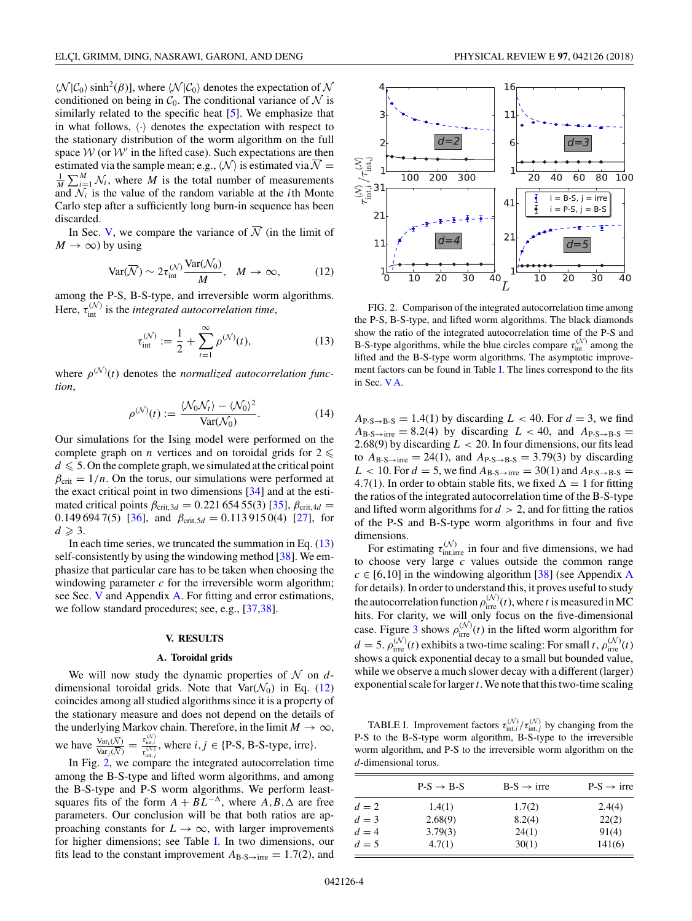<span id="page-3-0"></span> $\langle N | C_0 \rangle$  sinh<sup>2</sup>( $\beta$ )], where  $\langle N | C_0 \rangle$  denotes the expectation of N conditioned on being in  $C_0$ . The conditional variance of N is similarly related to the specific heat  $[5]$ . We emphasize that in what follows,  $\langle \cdot \rangle$  denotes the expectation with respect to the stationary distribution of the worm algorithm on the full space  $W$  (or  $W'$  in the lifted case). Such expectations are then estimated via the sample mean; e.g.,  $\langle N \rangle$  is estimated via  $\overline{N} = \frac{1}{N} \sum_{i=1}^{M} N_i$ , where M is the total number of measurements  $\frac{1}{M} \sum_{i=1}^{M} N_i$ , where *M* is the total number of measurements and  $\mathcal{N}_i$  is the value of the random variable at the *i*th Monte Carlo step after a sufficiently long burn-in sequence has been discarded.

In Sec. V, we compare the variance of  $\overline{N}$  (in the limit of  $M \to \infty$ ) by using

$$
\text{Var}(\overline{\mathcal{N}}) \sim 2\tau_{\text{int}}^{(\mathcal{N})} \frac{\text{Var}(\mathcal{N}_0)}{M}, \quad M \to \infty,
$$
 (12)

among the P-S, B-S-type, and irreversible worm algorithms. Here,  $\tau_{\text{int}}^{(N)}$  is the *integrated autocorrelation time*,

$$
\tau_{\text{int}}^{(\mathcal{N})} := \frac{1}{2} + \sum_{t=1}^{\infty} \rho^{(\mathcal{N})}(t),\tag{13}
$$

where  $\rho^{(N)}(t)$  denotes the *normalized autocorrelation function*,

$$
\rho^{(\mathcal{N})}(t) := \frac{\langle \mathcal{N}_0 \mathcal{N}_t \rangle - \langle \mathcal{N}_0 \rangle^2}{\text{Var}(\mathcal{N}_0)}.
$$
\n(14)

Our simulations for the Ising model were performed on the complete graph on *n* vertices and on toroidal grids for  $2 \leq$  $d \leqslant 5$ . On the complete graph, we simulated at the critical point  $\beta_{\rm crit} = 1/n$ . On the torus, our simulations were performed at the exact critical point in two dimensions [\[34\]](#page-7-0) and at the estimated critical points  $\beta_{\text{crit},3d} = 0.22165455(3)$  [\[35\]](#page-7-0),  $\beta_{\text{crit},4d} =$ 0.149 694 7(5) [\[36\]](#page-7-0), and  $\beta_{\text{crit},5d} = 0.1139150(4)$  [\[27\]](#page-7-0), for  $d \geqslant 3$ .

In each time series, we truncated the summation in Eq. (13) self-consistently by using the windowing method [\[38\]](#page-7-0). We emphasize that particular care has to be taken when choosing the windowing parameter  $c$  for the irreversible worm algorithm; see Sec. V and Appendix [A.](#page-5-0) For fitting and error estimations, we follow standard procedures; see, e.g., [\[37,38\]](#page-7-0).

## **V. RESULTS**

## **A. Toroidal grids**

We will now study the dynamic properties of  $N$  on  $d$ dimensional toroidal grids. Note that  $\text{Var}(\mathcal{N}_0)$  in Eq. (12) coincides among all studied algorithms since it is a property of the stationary measure and does not depend on the details of the underlying Markov chain. Therefore, in the limit  $M \to \infty$ , we have  $\frac{\text{Var}_i(\overline{\mathcal{N}})}{\text{Var}_j(\overline{\mathcal{N}})} = \frac{\tau_{\text{init}}^{(\mathcal{N})}}{\tau_{\text{init}}^{(\mathcal{N})}}$ , where  $i, j \in \{\text{P-S}, \text{B-S-type}, \text{irre}\}.$ 

In Fig. 2, we compare the integrated autocorrelation time among the B-S-type and lifted worm algorithms, and among the B-S-type and P-S worm algorithms. We perform leastsquares fits of the form  $A + BL^{-\Delta}$ , where  $A, B, \Delta$  are free parameters. Our conclusion will be that both ratios are approaching constants for  $L \to \infty$ , with larger improvements for higher dimensions; see Table I. In two dimensions, our fits lead to the constant improvement  $A_{B-S\rightarrow irre} = 1.7(2)$ , and



FIG. 2. Comparison of the integrated autocorrelation time among the P-S, B-S-type, and lifted worm algorithms. The black diamonds show the ratio of the integrated autocorrelation time of the P-S and B-S-type algorithms, while the blue circles compare  $\tau_{\text{int}}^{(N)}$  among the lifted and the B-S-type worm algorithms. The asymptotic improvement factors can be found in Table I. The lines correspond to the fits in Sec. V A.

 $A_{P-S\rightarrow B-S} = 1.4(1)$  by discarding  $L < 40$ . For  $d = 3$ , we find  $A_{\text{B-S}\rightarrow \text{irre}} = 8.2(4)$  by discarding  $L < 40$ , and  $A_{\text{P-S}\rightarrow \text{B-S}} =$ 2*.*68(9) by discarding *L <* 20. In four dimensions, our fits lead to  $A_{B-S\rightarrow irre} = 24(1)$ , and  $A_{P-S\rightarrow B-S} = 3.79(3)$  by discarding  $L < 10$ . For  $d = 5$ , we find  $A_{B-S\rightarrow irre} = 30(1)$  and  $A_{P-S\rightarrow B-S} =$ 4.7(1). In order to obtain stable fits, we fixed  $\Delta = 1$  for fitting the ratios of the integrated autocorrelation time of the B-S-type and lifted worm algorithms for  $d > 2$ , and for fitting the ratios of the P-S and B-S-type worm algorithms in four and five dimensions.

For estimating  $\tau_{\text{int,irre}}^{(N)}$  in four and five dimensions, we had to choose very large *c* values outside the common range  $c \in [6, 10]$  in the windowing algorithm [\[38\]](#page-7-0) (see [A](#page-5-0)ppendix A for details). In order to understand this, it proves useful to study the autocorrelation function  $\rho_{\text{irre}}^{(\mathcal{N})}(t)$ , where *t* is measured in MC hits. For clarity, we will only focus on the five-dimensional case. Figure [3](#page-4-0) shows  $\rho_{\text{irre}}^{(N)}(t)$  in the lifted worm algorithm for  $d = 5$ .  $\rho_{\text{irre}}^{(N)}(t)$  exhibits a two-time scaling: For small *t*,  $\rho_{\text{irre}}^{(N)}(t)$ shows a quick exponential decay to a small but bounded value, while we observe a much slower decay with a different (larger) exponential scale for larger*t*. We note that this two-time scaling

**TABLE I.** Improvement factors  $\tau_{\text{int},i}^{(\mathcal{N})}/\tau_{\text{int},j}^{(\mathcal{N})}$  by changing from the P-S to the B-S-type worm algorithm, B-S-type to the irreversible worm algorithm, and P-S to the irreversible worm algorithm on the *d*-dimensional torus.

|       | $P-S \rightarrow B-S$ | $B-S \rightarrow irre$ | $P-S \rightarrow irre$ |
|-------|-----------------------|------------------------|------------------------|
| $d=2$ | 1.4(1)                | 1.7(2)                 | 2.4(4)                 |
| $d=3$ | 2.68(9)               | 8.2(4)                 | 22(2)                  |
| $d=4$ | 3.79(3)               | 24(1)                  | 91(4)                  |
| $d=5$ | 4.7(1)                | 30(1)                  | 141(6)                 |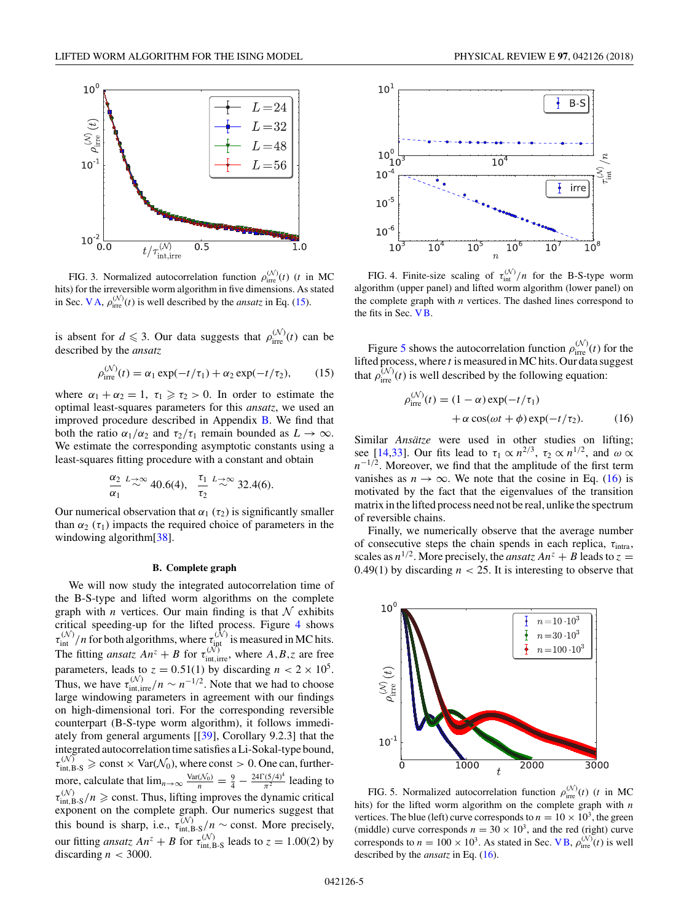<span id="page-4-0"></span>

FIG. 3. Normalized autocorrelation function  $\rho_{\text{irre}}^{(N)}(t)$  (*t* in MC hits) for the irreversible worm algorithm in five dimensions. As stated in Sec. [V A,](#page-3-0)  $\rho_{\text{irre}}^{(N)}(t)$  is well described by the *ansatz* in Eq. (15).

is absent for  $d \leq 3$ . Our data suggests that  $\rho_{\text{irre}}^{(N)}(t)$  can be described by the *ansatz*

$$
\rho_{\text{irre}}^{(\mathcal{N})}(t) = \alpha_1 \exp(-t/\tau_1) + \alpha_2 \exp(-t/\tau_2), \qquad (15)
$$

where  $\alpha_1 + \alpha_2 = 1$ ,  $\tau_1 \geq \tau_2 > 0$ . In order to estimate the optimal least-squares parameters for this *ansatz*, we used an improved procedure described in Appendix [B.](#page-6-0) We find that both the ratio  $\alpha_1/\alpha_2$  and  $\tau_2/\tau_1$  remain bounded as  $L \to \infty$ . We estimate the corresponding asymptotic constants using a least-squares fitting procedure with a constant and obtain

$$
\frac{\alpha_2}{\alpha_1} \stackrel{L\to\infty}{\sim} 40.6(4), \quad \frac{\tau_1}{\tau_2} \stackrel{L\to\infty}{\sim} 32.4(6).
$$

Our numerical observation that  $\alpha_1$  ( $\tau_2$ ) is significantly smaller than  $\alpha_2$  ( $\tau_1$ ) impacts the required choice of parameters in the windowing algorithm<sup>[\[38\]](#page-7-0)</sup>.

### **B. Complete graph**

We will now study the integrated autocorrelation time of the B-S-type and lifted worm algorithms on the complete graph with *n* vertices. Our main finding is that  $N$  exhibits critical speeding-up for the lifted process. Figure 4 shows  $\tau_{\text{int}}^{(N)}/n$  for both algorithms, where  $\tau_{\text{int}}^{(N)}$  is measured in MC hits. The fitting *ansatz*  $An^z + B$  for  $\tau_{\text{int,irre}}^{(N)}$ , where  $A, B, z$  are free parameters, leads to  $z = 0.51(1)$  by discarding  $n < 2 \times 10^5$ . Thus, we have  $\tau_{\text{int,irre}}^{(N)}/n \sim n^{-1/2}$ . Note that we had to choose large windowing parameters in agreement with our findings on high-dimensional tori. For the corresponding reversible counterpart (B-S-type worm algorithm), it follows immediately from general arguments  $[[39]$  $[[39]$ , Corollary 9.2.3] that the integrated autocorrelation time satisfies a Li-Sokal-type bound,  $\tau_{\text{int,B-S}}^{(\mathcal{N})} \ge \text{const} \times \text{Var}(\mathcal{N}_0)$ , where const  $> 0$ . One can, furthermore, calculate that  $\lim_{n\to\infty} \frac{\text{Var}(N_0)}{n} = \frac{9}{4} - \frac{24\Gamma(5/4)^4}{\pi^2}$  leading to  $\tau_{\text{int},B-S}^{(\mathcal{N})}/n \geqslant \text{const.}$  Thus, lifting improves the dynamic critical exponent on the complete graph. Our numerics suggest that this bound is sharp, i.e.,  $\tau_{\text{int,B-S}}^{(N)}/n \sim \text{const.}$  More precisely, our fitting *ansatz*  $An^z + B$  for  $\tau_{\text{int},B-S}^{(N)}$  leads to  $z = 1.00(2)$  by discarding  $n < 3000$ .





FIG. 4. Finite-size scaling of  $\tau_{int}^{(N)}/n$  for the B-S-type worm algorithm (upper panel) and lifted worm algorithm (lower panel) on the complete graph with *n* vertices. The dashed lines correspond to the fits in Sec. VB.

Figure 5 shows the autocorrelation function  $\rho_{\text{irre}}^{(N)}(t)$  for the lifted process, where *t* is measured in MC hits. Our data suggest that  $\rho_{\text{irre}}^{(N)}(t)$  is well described by the following equation:

$$
\rho_{\text{irre}}^{(\mathcal{N})}(t) = (1 - \alpha) \exp(-t/\tau_1) \n+ \alpha \cos(\omega t + \phi) \exp(-t/\tau_2).
$$
\n(16)

Similar *Ansätze* were used in other studies on lifting; see [\[14,](#page-6-0)[33\]](#page-7-0). Our fits lead to  $\tau_1 \propto n^{2/3}$ ,  $\tau_2 \propto n^{1/2}$ , and  $\omega \propto$  $n^{-1/2}$ . Moreover, we find that the amplitude of the first term vanishes as  $n \to \infty$ . We note that the cosine in Eq. (16) is motivated by the fact that the eigenvalues of the transition matrix in the lifted process need not be real, unlike the spectrum of reversible chains.

Finally, we numerically observe that the average number of consecutive steps the chain spends in each replica, *τ*intra, scales as  $n^{1/2}$ . More precisely, the *ansatz*  $An^z + B$  leads to  $z =$ 0.49(1) by discarding  $n < 25$ . It is interesting to observe that



FIG. 5. Normalized autocorrelation function  $\rho_{\text{irre}}^{(N)}(t)$  (*t* in MC hits) for the lifted worm algorithm on the complete graph with *n* vertices. The blue (left) curve corresponds to  $n = 10 \times 10^3$ , the green (middle) curve corresponds  $n = 30 \times 10^3$ , and the red (right) curve corresponds to  $n = 100 \times 10^3$ . As stated in Sec. VB,  $\rho_{\text{irre}}^{(N)}(t)$  is well described by the *ansatz* in Eq. (16).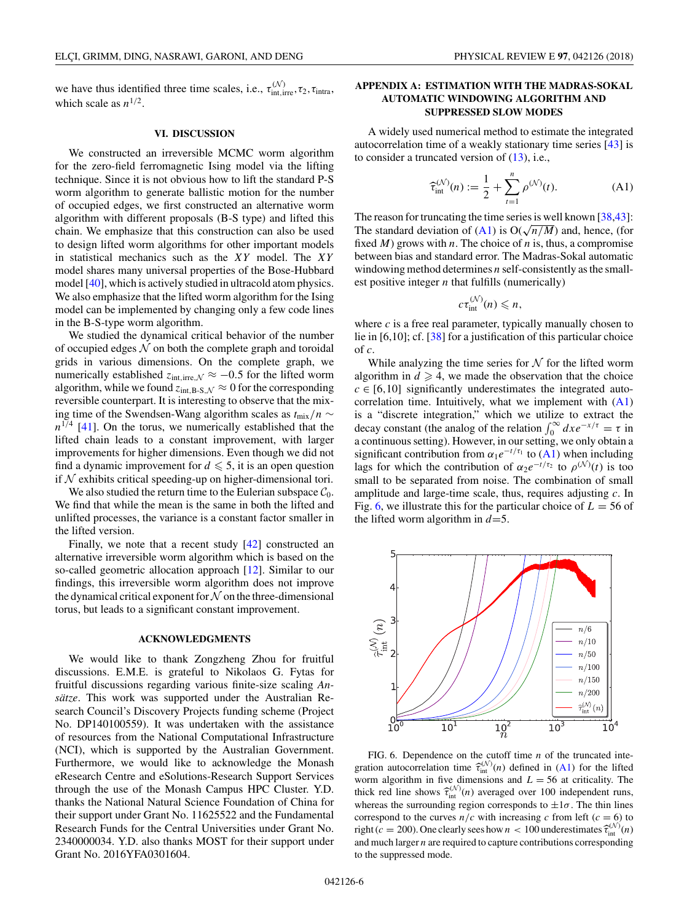<span id="page-5-0"></span>we have thus identified three time scales, i.e.,  $\tau_{\text{int,irre}}^{(N)}$ ,  $\tau_{2}$ ,  $\tau_{\text{intra}}$ , which scale as  $n^{1/2}$ .

#### **VI. DISCUSSION**

We constructed an irreversible MCMC worm algorithm for the zero-field ferromagnetic Ising model via the lifting technique. Since it is not obvious how to lift the standard P-S worm algorithm to generate ballistic motion for the number of occupied edges, we first constructed an alternative worm algorithm with different proposals (B-S type) and lifted this chain. We emphasize that this construction can also be used to design lifted worm algorithms for other important models in statistical mechanics such as the *XY* model. The *XY* model shares many universal properties of the Bose-Hubbard model [\[40\]](#page-7-0), which is actively studied in ultracold atom physics. We also emphasize that the lifted worm algorithm for the Ising model can be implemented by changing only a few code lines in the B-S-type worm algorithm.

We studied the dynamical critical behavior of the number of occupied edges  $N$  on both the complete graph and toroidal grids in various dimensions. On the complete graph, we numerically established  $z_{\text{int,irre},N} \approx -0.5$  for the lifted worm algorithm, while we found  $z_{int,B-S,N} \approx 0$  for the corresponding reversible counterpart. It is interesting to observe that the mixing time of the Swendsen-Wang algorithm scales as *t*mix*/n* ∼  $n^{1/4}$  [\[41\]](#page-7-0). On the torus, we numerically established that the lifted chain leads to a constant improvement, with larger improvements for higher dimensions. Even though we did not find a dynamic improvement for  $d \leqslant 5$ , it is an open question if  $N$  exhibits critical speeding-up on higher-dimensional tori.

We also studied the return time to the Eulerian subspace  $C_0$ . We find that while the mean is the same in both the lifted and unlifted processes, the variance is a constant factor smaller in the lifted version.

Finally, we note that a recent study [\[42\]](#page-7-0) constructed an alternative irreversible worm algorithm which is based on the so-called geometric allocation approach [\[12\]](#page-6-0). Similar to our findings, this irreversible worm algorithm does not improve the dynamical critical exponent for  $N$  on the three-dimensional torus, but leads to a significant constant improvement.

#### **ACKNOWLEDGMENTS**

We would like to thank Zongzheng Zhou for fruitful discussions. E.M.E. is grateful to Nikolaos G. Fytas for fruitful discussions regarding various finite-size scaling *Ansätze*. This work was supported under the Australian Research Council's Discovery Projects funding scheme (Project No. DP140100559). It was undertaken with the assistance of resources from the National Computational Infrastructure (NCI), which is supported by the Australian Government. Furthermore, we would like to acknowledge the Monash eResearch Centre and eSolutions-Research Support Services through the use of the Monash Campus HPC Cluster. Y.D. thanks the National Natural Science Foundation of China for their support under Grant No. 11625522 and the Fundamental Research Funds for the Central Universities under Grant No. 2340000034. Y.D. also thanks MOST for their support under Grant No. 2016YFA0301604.

## **APPENDIX A: ESTIMATION WITH THE MADRAS-SOKAL AUTOMATIC WINDOWING ALGORITHM AND SUPPRESSED SLOW MODES**

A widely used numerical method to estimate the integrated autocorrelation time of a weakly stationary time series [\[43\]](#page-7-0) is to consider a truncated version of  $(13)$ , i.e.,

$$
\widehat{\tau}_{\text{int}}^{(\mathcal{N})}(n) := \frac{1}{2} + \sum_{t=1}^{n} \rho^{(\mathcal{N})}(t). \tag{A1}
$$

The reason for truncating the time series is well known [\[38,43\]](#page-7-0): The standard deviation of (A1) is  $O(\sqrt{n/M})$  and, hence, (for fixed *M*) grows with *n*. The choice of *n* is, thus, a compromise between bias and standard error. The Madras-Sokal automatic windowing method determines *n* self-consistently as the smallest positive integer *n* that fulfills (numerically)

$$
c\tau_{\text{int}}^{(\mathcal{N})}(n)\leqslant n,
$$

where *c* is a free real parameter, typically manually chosen to lie in [6,10]; cf. [\[38\]](#page-7-0) for a justification of this particular choice of *c*.

While analyzing the time series for  $N$  for the lifted worm algorithm in  $d \geq 4$ , we made the observation that the choice  $c \in [6, 10]$  significantly underestimates the integrated autocorrelation time. Intuitively, what we implement with  $(A1)$ is a "discrete integration," which we utilize to extract the decay constant (the analog of the relation  $\int_0^\infty dx e^{-x/\tau} = \tau$  in a continuous setting). However, in our setting, we only obtain a significant contribution from  $\alpha_1 e^{-t/\tau_1}$  to (A1) when including lags for which the contribution of  $\alpha_2 e^{-t/\tau_2}$  to  $\rho^{(N)}(t)$  is too small to be separated from noise. The combination of small amplitude and large-time scale, thus, requires adjusting *c*. In Fig. 6, we illustrate this for the particular choice of  $L = 56$  of the lifted worm algorithm in  $d=5$ .



FIG. 6. Dependence on the cutoff time *n* of the truncated integration autocorrelation time  $\hat{\tau}_{int}^{(N)}(n)$  defined in (A1) for the lifted worm algorithm in five dimensions and  $L = 56$  at criticality. The thick red line shows  $\hat{\tau}_{int}^{(N)}(n)$  averaged over 100 independent runs, whereas the surrounding region corresponds to  $\pm 1\sigma$ . The thin lines correspond to the curves  $n/c$  with increasing *c* from left ( $c = 6$ ) to right ( $c = 200$ ). One clearly sees how  $n < 100$  underestimates  $\hat{\tau}_{int}^{(\mathcal{N})}(n)$ and much larger *n* are required to capture contributions corresponding to the suppressed mode.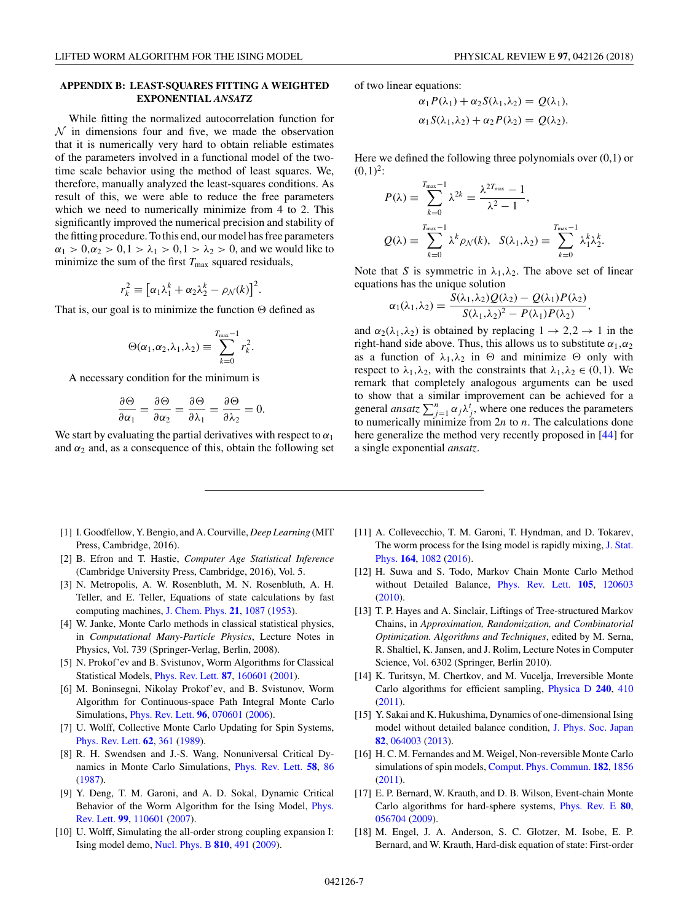## <span id="page-6-0"></span>**APPENDIX B: LEAST-SQUARES FITTING A WEIGHTED EXPONENTIAL** *ANSATZ*

While fitting the normalized autocorrelation function for  $\mathcal N$  in dimensions four and five, we made the observation that it is numerically very hard to obtain reliable estimates of the parameters involved in a functional model of the twotime scale behavior using the method of least squares. We, therefore, manually analyzed the least-squares conditions. As result of this, we were able to reduce the free parameters which we need to numerically minimize from 4 to 2. This significantly improved the numerical precision and stability of the fitting procedure. To this end, our model has free parameters *α*<sub>1</sub> > 0,*α*<sub>2</sub> > 0,1 >  $\lambda_1$  > 0,1 >  $\lambda_2$  > 0, and we would like to minimize the sum of the first  $T_{\text{max}}$  squared residuals,

$$
r_k^2 \equiv \left[ \alpha_1 \lambda_1^k + \alpha_2 \lambda_2^k - \rho_N(k) \right]^2.
$$

That is, our goal is to minimize the function  $\Theta$  defined as

$$
\Theta(\alpha_1,\alpha_2,\lambda_1,\lambda_2) \equiv \sum_{k=0}^{T_{\text{max}}-1} r_k^2.
$$

A necessary condition for the minimum is

$$
\frac{\partial \Theta}{\partial \alpha_1} = \frac{\partial \Theta}{\partial \alpha_2} = \frac{\partial \Theta}{\partial \lambda_1} = \frac{\partial \Theta}{\partial \lambda_2} = 0.
$$

We start by evaluating the partial derivatives with respect to  $\alpha_1$ and  $\alpha_2$  and, as a consequence of this, obtain the following set of two linear equations:

$$
\alpha_1 P(\lambda_1) + \alpha_2 S(\lambda_1, \lambda_2) = Q(\lambda_1),
$$
  
\n
$$
\alpha_1 S(\lambda_1, \lambda_2) + \alpha_2 P(\lambda_2) = Q(\lambda_2).
$$

Here we defined the following three polynomials over  $(0,1)$  or  $(0,1)^2$ :

$$
P(\lambda) \equiv \sum_{k=0}^{T_{\text{max}}-1} \lambda^{2k} = \frac{\lambda^{2T_{\text{max}}} - 1}{\lambda^2 - 1},
$$
  

$$
Q(\lambda) \equiv \sum_{k=0}^{T_{\text{max}}-1} \lambda^k \rho_{\mathcal{N}}(k), \quad S(\lambda_1, \lambda_2) \equiv \sum_{k=0}^{T_{\text{max}}-1} \lambda_1^k \lambda_2^k.
$$

Note that *S* is symmetric in  $\lambda_1, \lambda_2$ . The above set of linear equations has the unique solution

$$
\alpha_1(\lambda_1,\lambda_2)=\frac{S(\lambda_1,\lambda_2)Q(\lambda_2)-Q(\lambda_1)P(\lambda_2)}{S(\lambda_1,\lambda_2)^2-P(\lambda_1)P(\lambda_2)},
$$

and  $\alpha_2(\lambda_1, \lambda_2)$  is obtained by replacing  $1 \rightarrow 2, 2 \rightarrow 1$  in the right-hand side above. Thus, this allows us to substitute  $\alpha_1, \alpha_2$ as a function of  $\lambda_1, \lambda_2$  in  $\Theta$  and minimize  $\Theta$  only with respect to  $\lambda_1, \lambda_2$ , with the constraints that  $\lambda_1, \lambda_2 \in (0,1)$ . We remark that completely analogous arguments can be used to show that a similar improvement can be achieved for a general *ansatz*  $\sum_{j=1}^{n} \alpha_j \lambda_j^t$ , where one reduces the parameters to numerically minimize from 2*n* to *n*. The calculations done here generalize the method very recently proposed in [\[44\]](#page-7-0) for a single exponential *ansatz*.

- [1] I. Goodfellow, Y. Bengio, and A. Courville, *Deep Learning* (MIT Press, Cambridge, 2016).
- [2] B. Efron and T. Hastie, *Computer Age Statistical Inference* (Cambridge University Press, Cambridge, 2016), Vol. 5.
- [3] N. Metropolis, A. W. Rosenbluth, M. N. Rosenbluth, A. H. Teller, and E. Teller, Equations of state calculations by fast computing machines, [J. Chem. Phys.](https://doi.org/10.1063/1.1699114) **[21](https://doi.org/10.1063/1.1699114)**, [1087](https://doi.org/10.1063/1.1699114) [\(1953\)](https://doi.org/10.1063/1.1699114).
- [4] W. Janke, Monte Carlo methods in classical statistical physics, in *Computational Many-Particle Physics*, Lecture Notes in Physics, Vol. 739 (Springer-Verlag, Berlin, 2008).
- [5] N. Prokof'ev and B. Svistunov, Worm Algorithms for Classical Statistical Models, [Phys. Rev. Lett.](https://doi.org/10.1103/PhysRevLett.87.160601) **[87](https://doi.org/10.1103/PhysRevLett.87.160601)**, [160601](https://doi.org/10.1103/PhysRevLett.87.160601) [\(2001\)](https://doi.org/10.1103/PhysRevLett.87.160601).
- [6] M. Boninsegni, Nikolay Prokof'ev, and B. Svistunov, Worm Algorithm for Continuous-space Path Integral Monte Carlo Simulations, [Phys. Rev. Lett.](https://doi.org/10.1103/PhysRevLett.96.070601) **[96](https://doi.org/10.1103/PhysRevLett.96.070601)**, [070601](https://doi.org/10.1103/PhysRevLett.96.070601) [\(2006\)](https://doi.org/10.1103/PhysRevLett.96.070601).
- [7] U. Wolff, Collective Monte Carlo Updating for Spin Systems, [Phys. Rev. Lett.](https://doi.org/10.1103/PhysRevLett.62.361) **[62](https://doi.org/10.1103/PhysRevLett.62.361)**, [361](https://doi.org/10.1103/PhysRevLett.62.361) [\(1989\)](https://doi.org/10.1103/PhysRevLett.62.361).
- [8] R. H. Swendsen and J.-S. Wang, Nonuniversal Critical Dynamics in Monte Carlo Simulations, [Phys. Rev. Lett.](https://doi.org/10.1103/PhysRevLett.58.86) **[58](https://doi.org/10.1103/PhysRevLett.58.86)**, [86](https://doi.org/10.1103/PhysRevLett.58.86) [\(1987\)](https://doi.org/10.1103/PhysRevLett.58.86).
- [9] Y. Deng, T. M. Garoni, and A. D. Sokal, Dynamic Critical [Behavior of the Worm Algorithm for the Ising Model,](https://doi.org/10.1103/PhysRevLett.99.110601) Phys. Rev. Lett. **[99](https://doi.org/10.1103/PhysRevLett.99.110601)**, [110601](https://doi.org/10.1103/PhysRevLett.99.110601) [\(2007\)](https://doi.org/10.1103/PhysRevLett.99.110601).
- [10] U. Wolff, Simulating the all-order strong coupling expansion I: Ising model demo, [Nucl. Phys. B](https://doi.org/10.1016/j.nuclphysb.2008.09.033) **[810](https://doi.org/10.1016/j.nuclphysb.2008.09.033)**, [491](https://doi.org/10.1016/j.nuclphysb.2008.09.033) [\(2009\)](https://doi.org/10.1016/j.nuclphysb.2008.09.033).
- [11] A. Collevecchio, T. M. Garoni, T. Hyndman, and D. Tokarev, [The worm process for the Ising model is rapidly mixing,](https://doi.org/10.1007/s10955-016-1572-2) J. Stat. Phys. **[164](https://doi.org/10.1007/s10955-016-1572-2)**, [1082](https://doi.org/10.1007/s10955-016-1572-2) [\(2016\)](https://doi.org/10.1007/s10955-016-1572-2).
- [12] H. Suwa and S. Todo, Markov Chain Monte Carlo Method without Detailed Balance, [Phys. Rev. Lett.](https://doi.org/10.1103/PhysRevLett.105.120603) **[105](https://doi.org/10.1103/PhysRevLett.105.120603)**, [120603](https://doi.org/10.1103/PhysRevLett.105.120603) [\(2010\)](https://doi.org/10.1103/PhysRevLett.105.120603).
- [13] T. P. Hayes and A. Sinclair, Liftings of Tree-structured Markov Chains, in *Approximation, Randomization, and Combinatorial Optimization. Algorithms and Techniques*, edited by M. Serna, R. Shaltiel, K. Jansen, and J. Rolim, Lecture Notes in Computer Science, Vol. 6302 (Springer, Berlin 2010).
- [14] K. Turitsyn, M. Chertkov, and M. Vucelja, Irreversible Monte Carlo algorithms for efficient sampling, [Physica D](https://doi.org/10.1016/j.physd.2010.10.003) **[240](https://doi.org/10.1016/j.physd.2010.10.003)**, [410](https://doi.org/10.1016/j.physd.2010.10.003) [\(2011\)](https://doi.org/10.1016/j.physd.2010.10.003).
- [15] Y. Sakai and K. Hukushima, Dynamics of one-dimensional Ising model without detailed balance condition, [J. Phys. Soc. Japan](https://doi.org/10.7566/JPSJ.82.064003) **[82](https://doi.org/10.7566/JPSJ.82.064003)**, [064003](https://doi.org/10.7566/JPSJ.82.064003) [\(2013\)](https://doi.org/10.7566/JPSJ.82.064003).
- [16] H. C. M. Fernandes and M. Weigel, Non-reversible Monte Carlo simulations of spin models, [Comput. Phys. Commun.](https://doi.org/10.1016/j.cpc.2010.11.017) **[182](https://doi.org/10.1016/j.cpc.2010.11.017)**, [1856](https://doi.org/10.1016/j.cpc.2010.11.017) [\(2011\)](https://doi.org/10.1016/j.cpc.2010.11.017).
- [17] E. P. Bernard, W. Krauth, and D. B. Wilson, Event-chain Monte Carlo algorithms for hard-sphere systems, [Phys. Rev. E](https://doi.org/10.1103/PhysRevE.80.056704) **[80](https://doi.org/10.1103/PhysRevE.80.056704)**, [056704](https://doi.org/10.1103/PhysRevE.80.056704) [\(2009\)](https://doi.org/10.1103/PhysRevE.80.056704).
- [18] M. Engel, J. A. Anderson, S. C. Glotzer, M. Isobe, E. P. Bernard, and W. Krauth, Hard-disk equation of state: First-order